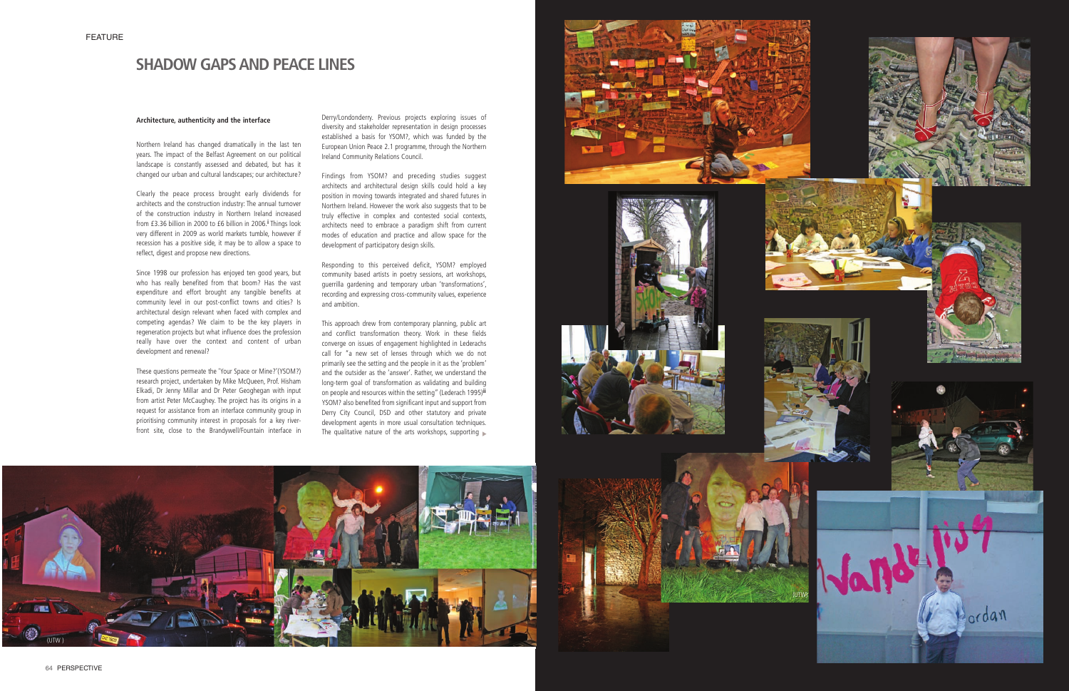## **SHADOW GAPS AND PEACE LINES**

## **Architecture, authenticity and the interface**

Northern Ireland has changed dramatically in the last ten years. The impact of the Belfast Agreement on our political landscape is constantly assessed and debated, but has it changed our urban and cultural landscapes; our architecture?

Clearly the peace process brought early dividends for architects and the construction industry: The annual turnover of the construction industry in Northern Ireland increased from £3.36 billion in 2000 to £6 billion in 2006. **i** Things look very different in 2009 as world markets tumble, however if recession has a positive side, it may be to allow a space to reflect, digest and propose new directions.

Since 1998 our profession has enjoyed ten good years, but who has really benefited from that boom? Has the vast expenditure and effort brought any tangible benefits at community level in our post-conflict towns and cities? Is architectural design relevant when faced with complex and competing agendas? We claim to be the key players in regeneration projects but what influence does the profession really have over the context and content of urban development and renewal?

These questions permeate the 'Your Space or Mine?'(YSOM?) research project, undertaken by Mike McQueen, Prof. Hisham Elkadi, Dr Jenny Millar and Dr Peter Geoghegan with input from artist Peter McCaughey. The project has its origins in a request for assistance from an interface community group in prioritising community interest in proposals for a key riverfront site, close to the Brandywell/Fountain interface in



Derry/Londonderry. Previous projects exploring issues of diversity and stakeholder representation in design processes established a basis for YSOM?, which was funded by the European Union Peace 2.1 programme, through the Northern Ireland Community Relations Council.

Findings from YSOM? and preceding studies suggest architects and architectural design skills could hold a key position in moving towards integrated and shared futures in Northern Ireland. However the work also suggests that to be truly effective in complex and contested social contexts, architects need to embrace a paradigm shift from current modes of education and practice and allow space for the development of participatory design skills.

Responding to this perceived deficit, YSOM? employed community based artists in poetry sessions, art workshops, guerrilla gardening and temporary urban 'transformations', recording and expressing cross-community values, experience and ambition.

This approach drew from contemporary planning, public art and conflict transformation theory. Work in these fields converge on issues of engagement highlighted in Lederachs call for "a new set of lenses through which we do not primarily see the setting and the people in it as the 'problem' and the outsider as the 'answer'. Rather, we understand the long-term goal of transformation as validating and building on people and resources within the setting" (Lederach 1995)**ii** YSOM? also benefited from significant input and support from Derry City Council, DSD and other statutory and private development agents in more usual consultation techniques. The qualitative nature of the arts workshops, supporting **▲**